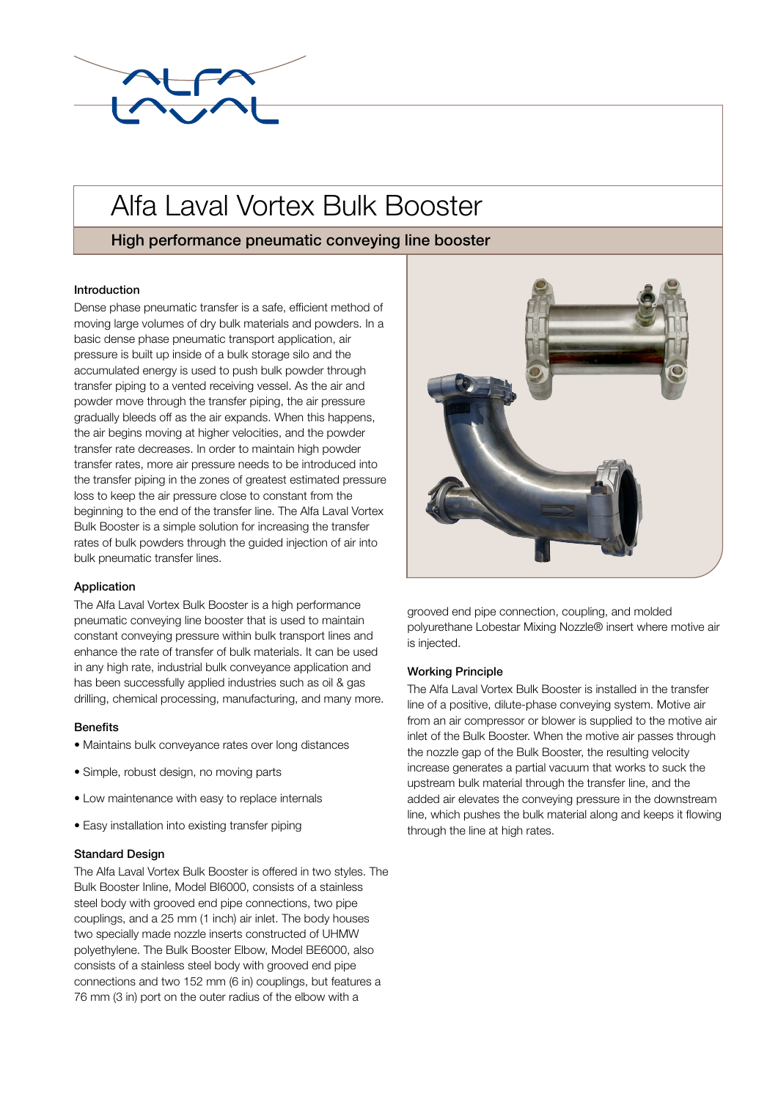

# Alfa Laval Vortex Bulk Booster

## High performance pneumatic conveying line booster

### Introduction

Dense phase pneumatic transfer is a safe, efficient method of moving large volumes of dry bulk materials and powders. In a basic dense phase pneumatic transport application, air pressure is built up inside of a bulk storage silo and the accumulated energy is used to push bulk powder through transfer piping to a vented receiving vessel. As the air and powder move through the transfer piping, the air pressure gradually bleeds off as the air expands. When this happens, the air begins moving at higher velocities, and the powder transfer rate decreases. In order to maintain high powder transfer rates, more air pressure needs to be introduced into the transfer piping in the zones of greatest estimated pressure loss to keep the air pressure close to constant from the beginning to the end of the transfer line. The Alfa Laval Vortex Bulk Booster is a simple solution for increasing the transfer rates of bulk powders through the guided injection of air into bulk pneumatic transfer lines.

### Application

The Alfa Laval Vortex Bulk Booster is a high performance pneumatic conveying line booster that is used to maintain constant conveying pressure within bulk transport lines and enhance the rate of transfer of bulk materials. It can be used in any high rate, industrial bulk conveyance application and has been successfully applied industries such as oil & gas drilling, chemical processing, manufacturing, and many more.

### **Benefits**

- Maintains bulk conveyance rates over long distances
- Simple, robust design, no moving parts
- Low maintenance with easy to replace internals
- Easy installation into existing transfer piping

### Standard Design

The Alfa Laval Vortex Bulk Booster is offered in two styles. The Bulk Booster Inline, Model BI6000, consists of a stainless steel body with grooved end pipe connections, two pipe couplings, and a 25 mm (1 inch) air inlet. The body houses two specially made nozzle inserts constructed of UHMW polyethylene. The Bulk Booster Elbow, Model BE6000, also consists of a stainless steel body with grooved end pipe connections and two 152 mm (6 in) couplings, but features a 76 mm (3 in) port on the outer radius of the elbow with a



grooved end pipe connection, coupling, and molded polyurethane Lobestar Mixing Nozzle® insert where motive air is injected.

### Working Principle

The Alfa Laval Vortex Bulk Booster is installed in the transfer line of a positive, dilute-phase conveying system. Motive air from an air compressor or blower is supplied to the motive air inlet of the Bulk Booster. When the motive air passes through the nozzle gap of the Bulk Booster, the resulting velocity increase generates a partial vacuum that works to suck the upstream bulk material through the transfer line, and the added air elevates the conveying pressure in the downstream line, which pushes the bulk material along and keeps it flowing through the line at high rates.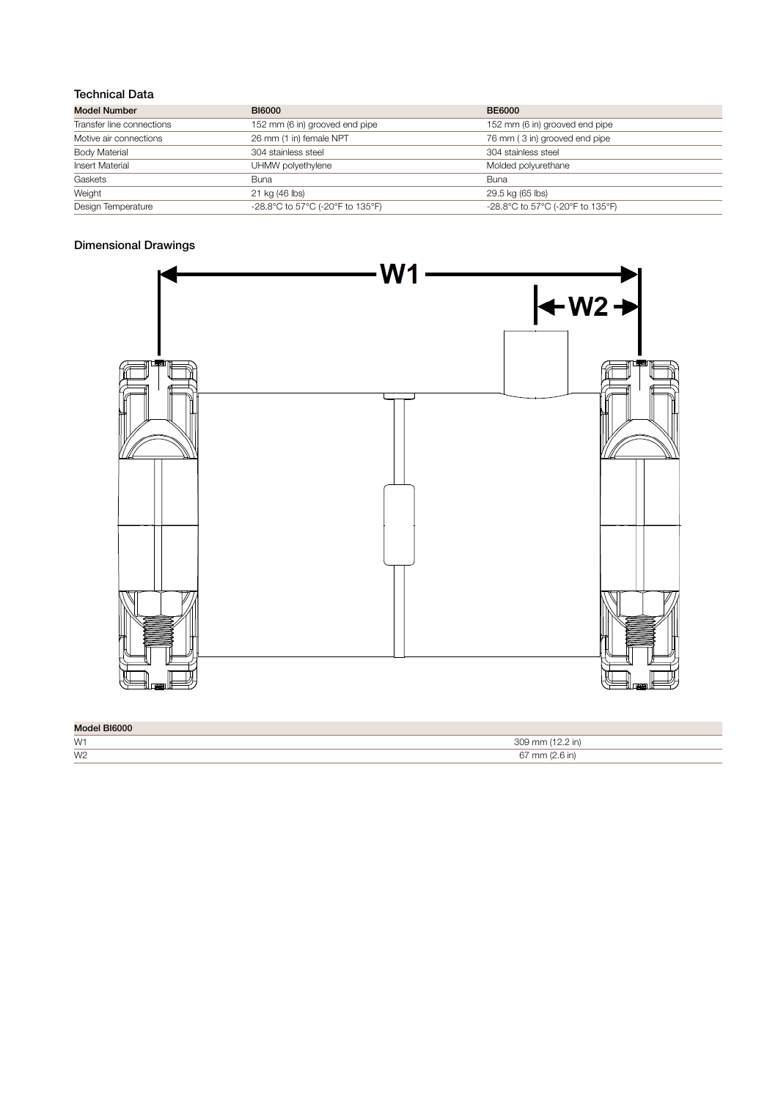## Technical Data

| <b>Model Number</b>       | <b>BI6000</b>                    | <b>BE6000</b>                    |
|---------------------------|----------------------------------|----------------------------------|
| Transfer line connections | 152 mm (6 in) grooved end pipe   | 152 mm (6 in) grooved end pipe   |
| Motive air connections    | 26 mm (1 in) female NPT          | 76 mm (3 in) grooved end pipe    |
| <b>Body Material</b>      | 304 stainless steel              | 304 stainless steel              |
| <b>Insert Material</b>    | UHMW polyethylene                | Molded polyurethane              |
| Gaskets                   | Buna                             | Buna                             |
| Weight                    | 21 kg (46 lbs)                   | 29.5 kg (65 lbs)                 |
| Design Temperature        | -28.8°C to 57°C (-20°F to 135°F) | -28.8°C to 57°C (-20°F to 135°F) |

## Dimensional Drawings



| Model BI6000 |  |
|--------------|--|
|              |  |

| טטטען וטשטוא   |              |
|----------------|--------------|
| W1             | $\cap \cap$  |
| W <sub>2</sub> | $\sim$<br>mm |
|                |              |